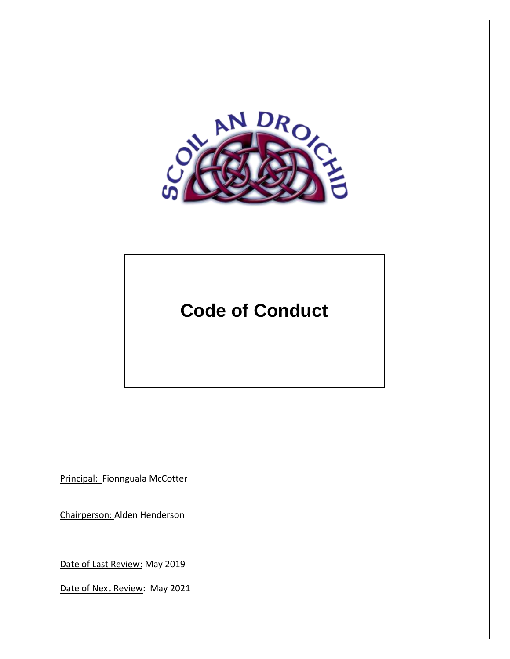

# **Code of Conduct**

Principal: Fionnguala McCotter

Chairperson: Alden Henderson

Date of Last Review: May 2019

Date of Next Review: May 2021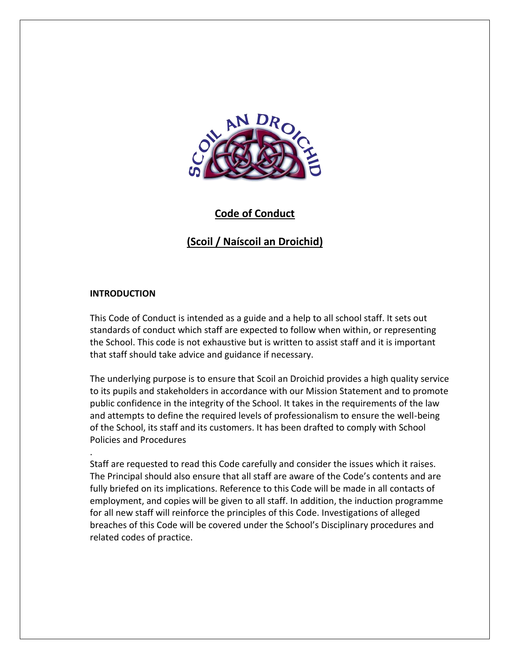

# **Code of Conduct**

# **(Scoil / Naíscoil an Droichid)**

#### **INTRODUCTION**

.

This Code of Conduct is intended as a guide and a help to all school staff. It sets out standards of conduct which staff are expected to follow when within, or representing the School. This code is not exhaustive but is written to assist staff and it is important that staff should take advice and guidance if necessary.

The underlying purpose is to ensure that Scoil an Droichid provides a high quality service to its pupils and stakeholders in accordance with our Mission Statement and to promote public confidence in the integrity of the School. It takes in the requirements of the law and attempts to define the required levels of professionalism to ensure the well-being of the School, its staff and its customers. It has been drafted to comply with School Policies and Procedures

Staff are requested to read this Code carefully and consider the issues which it raises. The Principal should also ensure that all staff are aware of the Code's contents and are fully briefed on its implications. Reference to this Code will be made in all contacts of employment, and copies will be given to all staff. In addition, the induction programme for all new staff will reinforce the principles of this Code. Investigations of alleged breaches of this Code will be covered under the School's Disciplinary procedures and related codes of practice.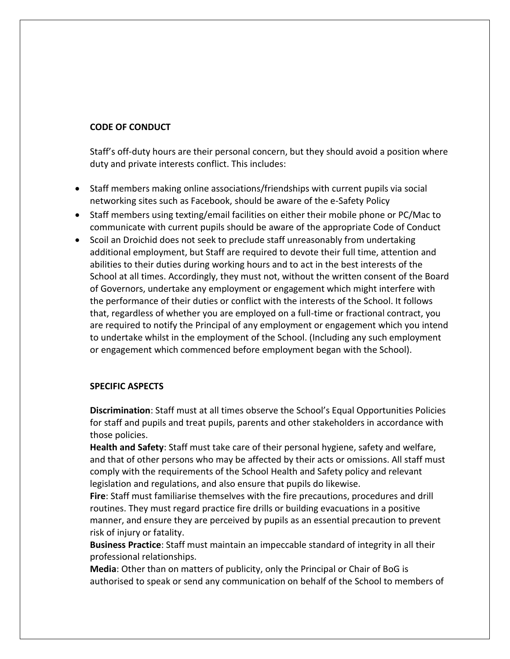#### **CODE OF CONDUCT**

Staff's off-duty hours are their personal concern, but they should avoid a position where duty and private interests conflict. This includes:

- Staff members making online associations/friendships with current pupils via social networking sites such as Facebook, should be aware of the e-Safety Policy
- Staff members using texting/email facilities on either their mobile phone or PC/Mac to communicate with current pupils should be aware of the appropriate Code of Conduct
- Scoil an Droichid does not seek to preclude staff unreasonably from undertaking additional employment, but Staff are required to devote their full time, attention and abilities to their duties during working hours and to act in the best interests of the School at all times. Accordingly, they must not, without the written consent of the Board of Governors, undertake any employment or engagement which might interfere with the performance of their duties or conflict with the interests of the School. It follows that, regardless of whether you are employed on a full-time or fractional contract, you are required to notify the Principal of any employment or engagement which you intend to undertake whilst in the employment of the School. (Including any such employment or engagement which commenced before employment began with the School).

### **SPECIFIC ASPECTS**

**Discrimination**: Staff must at all times observe the School's Equal Opportunities Policies for staff and pupils and treat pupils, parents and other stakeholders in accordance with those policies.

**Health and Safety**: Staff must take care of their personal hygiene, safety and welfare, and that of other persons who may be affected by their acts or omissions. All staff must comply with the requirements of the School Health and Safety policy and relevant legislation and regulations, and also ensure that pupils do likewise.

**Fire**: Staff must familiarise themselves with the fire precautions, procedures and drill routines. They must regard practice fire drills or building evacuations in a positive manner, and ensure they are perceived by pupils as an essential precaution to prevent risk of injury or fatality.

**Business Practice**: Staff must maintain an impeccable standard of integrity in all their professional relationships.

**Media**: Other than on matters of publicity, only the Principal or Chair of BoG is authorised to speak or send any communication on behalf of the School to members of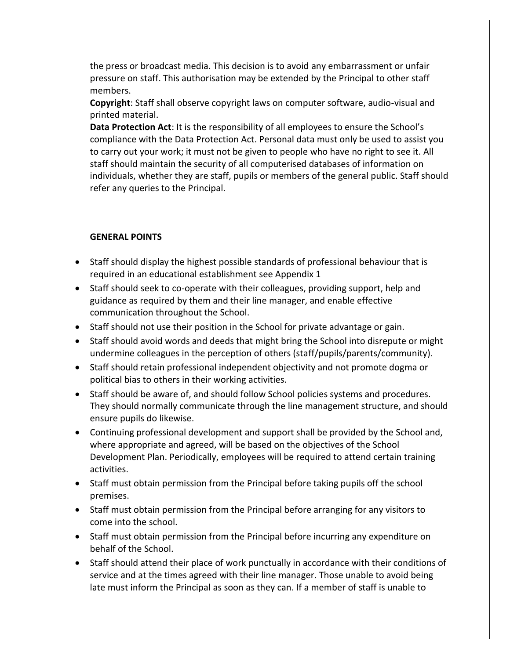the press or broadcast media. This decision is to avoid any embarrassment or unfair pressure on staff. This authorisation may be extended by the Principal to other staff members.

**Copyright**: Staff shall observe copyright laws on computer software, audio-visual and printed material.

**Data Protection Act**: It is the responsibility of all employees to ensure the School's compliance with the Data Protection Act. Personal data must only be used to assist you to carry out your work; it must not be given to people who have no right to see it. All staff should maintain the security of all computerised databases of information on individuals, whether they are staff, pupils or members of the general public. Staff should refer any queries to the Principal.

## **GENERAL POINTS**

- Staff should display the highest possible standards of professional behaviour that is required in an educational establishment see Appendix 1
- Staff should seek to co-operate with their colleagues, providing support, help and guidance as required by them and their line manager, and enable effective communication throughout the School.
- Staff should not use their position in the School for private advantage or gain.
- Staff should avoid words and deeds that might bring the School into disrepute or might undermine colleagues in the perception of others (staff/pupils/parents/community).
- Staff should retain professional independent objectivity and not promote dogma or political bias to others in their working activities.
- Staff should be aware of, and should follow School policies systems and procedures. They should normally communicate through the line management structure, and should ensure pupils do likewise.
- Continuing professional development and support shall be provided by the School and, where appropriate and agreed, will be based on the objectives of the School Development Plan. Periodically, employees will be required to attend certain training activities.
- Staff must obtain permission from the Principal before taking pupils off the school premises.
- Staff must obtain permission from the Principal before arranging for any visitors to come into the school.
- Staff must obtain permission from the Principal before incurring any expenditure on behalf of the School.
- Staff should attend their place of work punctually in accordance with their conditions of service and at the times agreed with their line manager. Those unable to avoid being late must inform the Principal as soon as they can. If a member of staff is unable to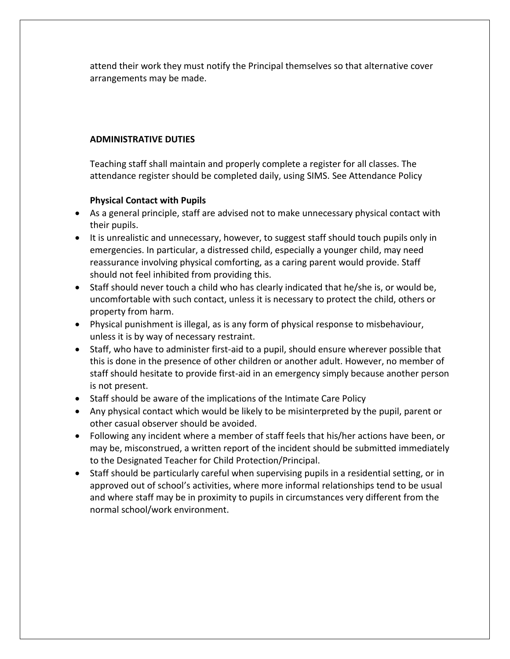attend their work they must notify the Principal themselves so that alternative cover arrangements may be made.

## **ADMINISTRATIVE DUTIES**

Teaching staff shall maintain and properly complete a register for all classes. The attendance register should be completed daily, using SIMS. See Attendance Policy

## **Physical Contact with Pupils**

- As a general principle, staff are advised not to make unnecessary physical contact with their pupils.
- It is unrealistic and unnecessary, however, to suggest staff should touch pupils only in emergencies. In particular, a distressed child, especially a younger child, may need reassurance involving physical comforting, as a caring parent would provide. Staff should not feel inhibited from providing this.
- Staff should never touch a child who has clearly indicated that he/she is, or would be, uncomfortable with such contact, unless it is necessary to protect the child, others or property from harm.
- Physical punishment is illegal, as is any form of physical response to misbehaviour, unless it is by way of necessary restraint.
- Staff, who have to administer first-aid to a pupil, should ensure wherever possible that this is done in the presence of other children or another adult. However, no member of staff should hesitate to provide first-aid in an emergency simply because another person is not present.
- Staff should be aware of the implications of the Intimate Care Policy
- Any physical contact which would be likely to be misinterpreted by the pupil, parent or other casual observer should be avoided.
- Following any incident where a member of staff feels that his/her actions have been, or may be, misconstrued, a written report of the incident should be submitted immediately to the Designated Teacher for Child Protection/Principal.
- Staff should be particularly careful when supervising pupils in a residential setting, or in approved out of school's activities, where more informal relationships tend to be usual and where staff may be in proximity to pupils in circumstances very different from the normal school/work environment.